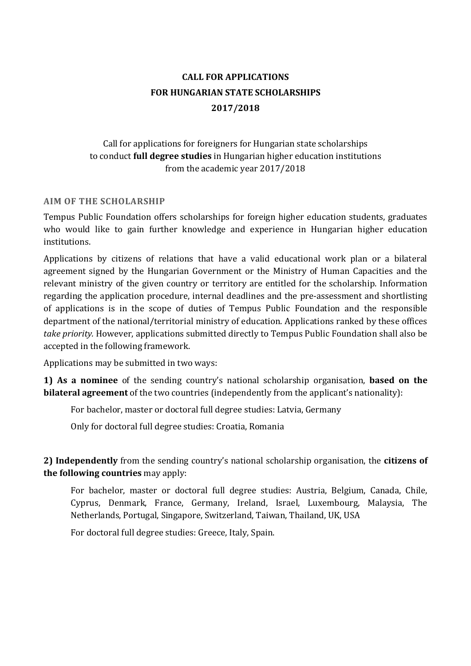# **CALL FOR APPLICATIONS FOR HUNGARIAN STATE SCHOLARSHIPS 2017/2018**

# Call for applications for foreigners for Hungarian state scholarships to conduct **full degree studies** in Hungarian higher education institutions from the academic year 2017/2018

#### **AIM OF THE SCHOLARSHIP**

Tempus Public Foundation offers scholarships for foreign higher education students, graduates who would like to gain further knowledge and experience in Hungarian higher education institutions.

Applications by citizens of relations that have a valid educational work plan or a bilateral agreement signed by the Hungarian Government or the Ministry of Human Capacities and the relevant ministry of the given country or territory are entitled for the scholarship. Information regarding the application procedure, internal deadlines and the pre-assessment and shortlisting of applications is in the scope of duties of Tempus Public Foundation and the responsible department of the national/territorial ministry of education. Applications ranked by these offices *take priority.* However, applications submitted directly to Tempus Public Foundation shall also be accepted in the following framework.

Applications may be submitted in two ways:

**1) As a nominee** of the sending country's national scholarship organisation, **based on the bilateral agreement** of the two countries (independently from the applicant's nationality):

For bachelor, master or doctoral full degree studies: Latvia, Germany

Only for doctoral full degree studies: Croatia, Romania

**2) Independently** from the sending country's national scholarship organisation, the **citizens of the following countries** may apply:

For bachelor, master or doctoral full degree studies: Austria, Belgium, Canada, Chile, Cyprus, Denmark, France, Germany, Ireland, Israel, Luxembourg, Malaysia, The Netherlands, Portugal, Singapore, Switzerland, Taiwan, Thailand, UK, USA

For doctoral full degree studies: Greece, Italy, Spain.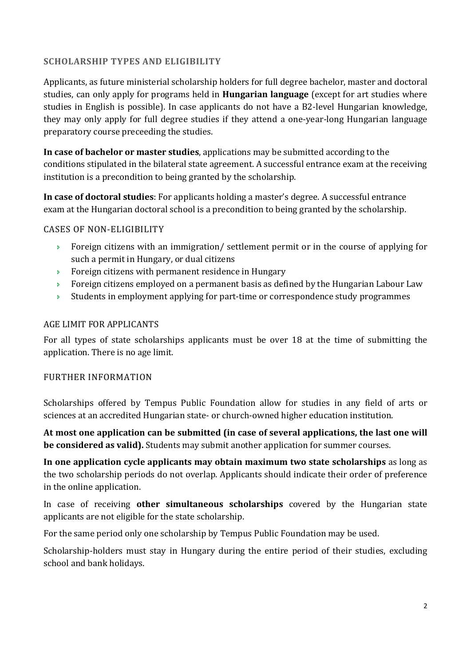# **SCHOLARSHIP TYPES AND ELIGIBILITY**

Applicants, as future ministerial scholarship holders for full degree bachelor, master and doctoral studies, can only apply for programs held in **Hungarian language** (except for art studies where studies in English is possible). In case applicants do not have a B2-level Hungarian knowledge, they may only apply for full degree studies if they attend a one-year-long Hungarian language preparatory course preceeding the studies.

**In case of bachelor or master studies**, applications may be submitted according to the conditions stipulated in the bilateral state agreement. A successful entrance exam at the receiving institution is a precondition to being granted by the scholarship.

**In case of doctoral studies**: For applicants holding a master's degree. A successful entrance exam at the Hungarian doctoral school is a precondition to being granted by the scholarship.

## CASES OF NON-ELIGIBILITY

- $\rightarrow$  Foreign citizens with an immigration/ settlement permit or in the course of applying for such a permit in Hungary, or dual citizens
- **Foreign citizens with permanent residence in Hungary**
- $\rightarrow$  Foreign citizens employed on a permanent basis as defined by the Hungarian Labour Law
- $\rightarrow$  Students in employment applying for part-time or correspondence study programmes

# AGE LIMIT FOR APPLICANTS

For all types of state scholarships applicants must be over 18 at the time of submitting the application. There is no age limit.

#### FURTHER INFORMATION

Scholarships offered by Tempus Public Foundation allow for studies in any field of arts or sciences at an accredited Hungarian state- or church-owned higher education institution.

**At most one application can be submitted (in case of several applications, the last one will be considered as valid).** Students may submit another application for summer courses.

**In one application cycle applicants may obtain maximum two state scholarships** as long as the two scholarship periods do not overlap. Applicants should indicate their order of preference in the online application.

In case of receiving **other simultaneous scholarships** covered by the Hungarian state applicants are not eligible for the state scholarship.

For the same period only one scholarship by Tempus Public Foundation may be used.

Scholarship-holders must stay in Hungary during the entire period of their studies, excluding school and bank holidays.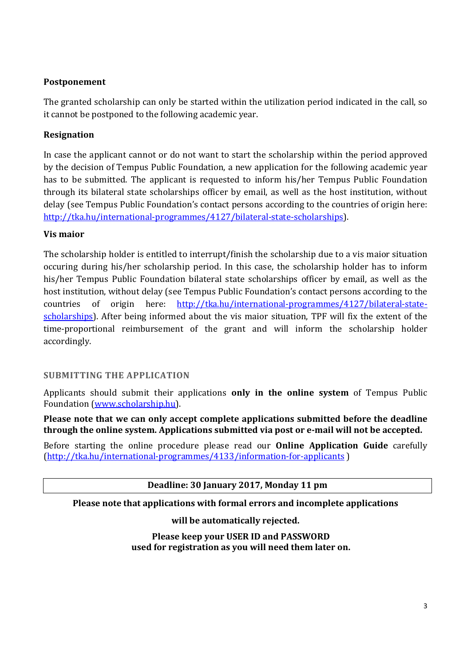## **Postponement**

The granted scholarship can only be started within the utilization period indicated in the call, so it cannot be postponed to the following academic year.

# **Resignation**

In case the applicant cannot or do not want to start the scholarship within the period approved by the decision of Tempus Public Foundation, a new application for the following academic year has to be submitted. The applicant is requested to inform his/her Tempus Public Foundation through its bilateral state scholarships officer by email, as well as the host institution, without delay (see Tempus Public Foundation's contact persons according to the countries of origin here: http://tka.hu/international-programmes/4127/bilateral-state-scholarships).

## **Vis maior**

The scholarship holder is entitled to interrupt/finish the scholarship due to a vis maior situation occuring during his/her scholarship period. In this case, the scholarship holder has to inform his/her Tempus Public Foundation bilateral state scholarships officer by email, as well as the host institution, without delay (see Tempus Public Foundation's contact persons according to the countries of origin here: http://tka.hu/international-programmes/4127/bilateral-statescholarships). After being informed about the vis maior situation, TPF will fix the extent of the time-proportional reimbursement of the grant and will inform the scholarship holder accordingly.

#### **SUBMITTING THE APPLICATION**

Applicants should submit their applications **only in the online system** of Tempus Public Foundation (www.scholarship.hu).

**Please note that we can only accept complete applications submitted before the deadline through the online system. Applications submitted via post or e-mail will not be accepted.** 

Before starting the online procedure please read our **Online Application Guide** carefully (http://tka.hu/international-programmes/4133/information-for-applicants )

**Deadline: 30 January 2017, Monday 11 pm** 

**Please note that applications with formal errors and incomplete applications** 

**will be automatically rejected.** 

**Please keep your USER ID and PASSWORD used for registration as you will need them later on.**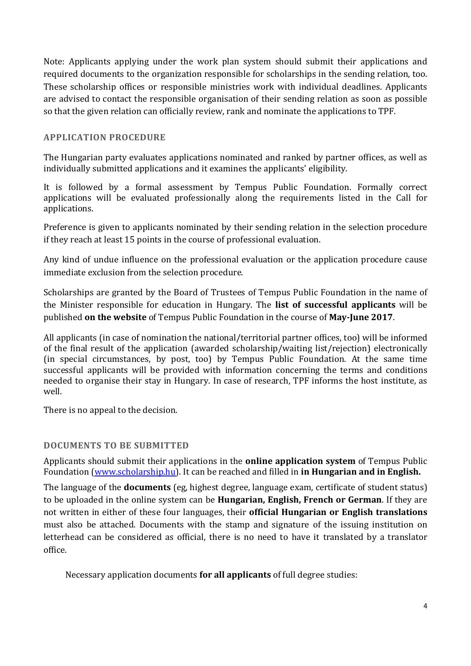Note: Applicants applying under the work plan system should submit their applications and required documents to the organization responsible for scholarships in the sending relation, too. These scholarship offices or responsible ministries work with individual deadlines. Applicants are advised to contact the responsible organisation of their sending relation as soon as possible so that the given relation can officially review, rank and nominate the applications to TPF.

#### **APPLICATION PROCEDURE**

The Hungarian party evaluates applications nominated and ranked by partner offices, as well as individually submitted applications and it examines the applicants' eligibility.

It is followed by a formal assessment by Tempus Public Foundation. Formally correct applications will be evaluated professionally along the requirements listed in the Call for applications.

Preference is given to applicants nominated by their sending relation in the selection procedure if they reach at least 15 points in the course of professional evaluation.

Any kind of undue influence on the professional evaluation or the application procedure cause immediate exclusion from the selection procedure.

Scholarships are granted by the Board of Trustees of Tempus Public Foundation in the name of the Minister responsible for education in Hungary. The **list of successful applicants** will be published **on the website** of Tempus Public Foundation in the course of **May-June 2017**.

All applicants (in case of nomination the national/territorial partner offices, too) will be informed of the final result of the application (awarded scholarship/waiting list/rejection) electronically (in special circumstances, by post, too) by Tempus Public Foundation. At the same time successful applicants will be provided with information concerning the terms and conditions needed to organise their stay in Hungary. In case of research, TPF informs the host institute, as well.

There is no appeal to the decision.

#### **DOCUMENTS TO BE SUBMITTED**

Applicants should submit their applications in the **online application system** of Tempus Public Foundation (www.scholarship.hu). It can be reached and filled in **in Hungarian and in English.** 

The language of the **documents** (eg, highest degree, language exam, certificate of student status) to be uploaded in the online system can be **Hungarian, English, French or German**. If they are not written in either of these four languages, their **official Hungarian or English translations** must also be attached. Documents with the stamp and signature of the issuing institution on letterhead can be considered as official, there is no need to have it translated by a translator office.

Necessary application documents **for all applicants** of full degree studies: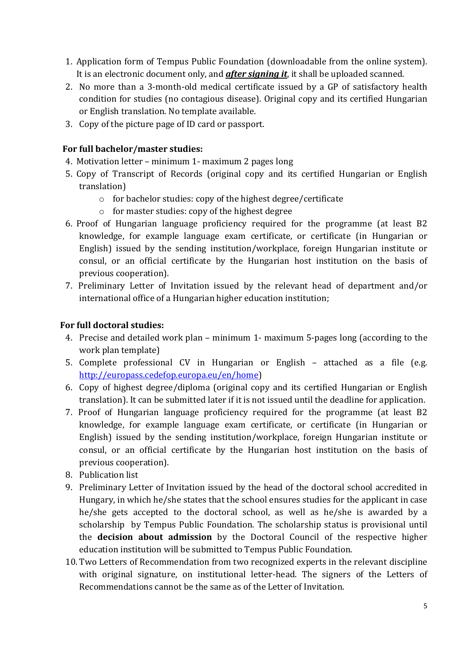- 1. Application form of Tempus Public Foundation (downloadable from the online system). It is an electronic document only, and *after signing it*, it shall be uploaded scanned.
- 2. No more than a 3-month-old medical certificate issued by a GP of satisfactory health condition for studies (no contagious disease). Original copy and its certified Hungarian or English translation. No template available.
- 3. Copy of the picture page of ID card or passport.

## **For full bachelor/master studies:**

- 4. Motivation letter minimum 1- maximum 2 pages long
- 5. Copy of Transcript of Records (original copy and its certified Hungarian or English translation)
	- o for bachelor studies: copy of the highest degree/certificate
	- o for master studies: copy of the highest degree
- 6. Proof of Hungarian language proficiency required for the programme (at least B2 knowledge, for example language exam certificate, or certificate (in Hungarian or English) issued by the sending institution/workplace, foreign Hungarian institute or consul, or an official certificate by the Hungarian host institution on the basis of previous cooperation).
- 7. Preliminary Letter of Invitation issued by the relevant head of department and/or international office of a Hungarian higher education institution;

# **For full doctoral studies:**

- 4. Precise and detailed work plan minimum 1- maximum 5-pages long (according to the work plan template)
- 5. Complete professional CV in Hungarian or English attached as a file (e.g. http://europass.cedefop.europa.eu/en/home)
- 6. Copy of highest degree/diploma (original copy and its certified Hungarian or English translation). It can be submitted later if it is not issued until the deadline for application.
- 7. Proof of Hungarian language proficiency required for the programme (at least B2 knowledge, for example language exam certificate, or certificate (in Hungarian or English) issued by the sending institution/workplace, foreign Hungarian institute or consul, or an official certificate by the Hungarian host institution on the basis of previous cooperation).
- 8. Publication list
- 9. Preliminary Letter of Invitation issued by the head of the doctoral school accredited in Hungary, in which he/she states that the school ensures studies for the applicant in case he/she gets accepted to the doctoral school, as well as he/she is awarded by a scholarship by Tempus Public Foundation. The scholarship status is provisional until the **decision about admission** by the Doctoral Council of the respective higher education institution will be submitted to Tempus Public Foundation.
- 10. Two Letters of Recommendation from two recognized experts in the relevant discipline with original signature, on institutional letter-head. The signers of the Letters of Recommendations cannot be the same as of the Letter of Invitation.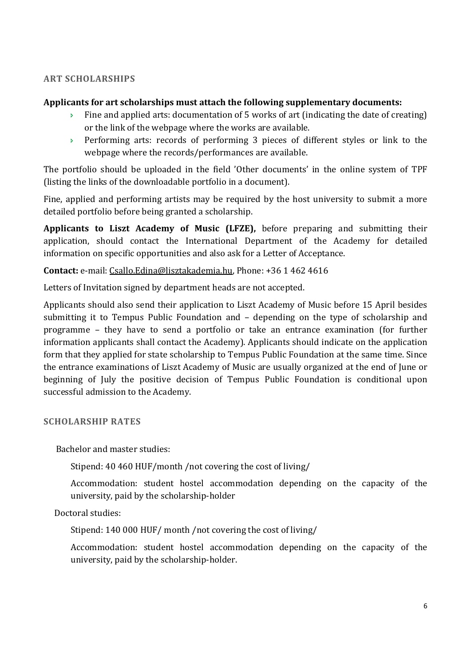## **ART SCHOLARSHIPS**

#### **Applicants for art scholarships must attach the following supplementary documents:**

- Fine and applied arts: documentation of 5 works of art (indicating the date of creating) or the link of the webpage where the works are available.
- Performing arts: records of performing 3 pieces of different styles or link to the webpage where the records/performances are available.

The portfolio should be uploaded in the field 'Other documents' in the online system of TPF (listing the links of the downloadable portfolio in a document).

Fine, applied and performing artists may be required by the host university to submit a more detailed portfolio before being granted a scholarship.

**Applicants to Liszt Academy of Music (LFZE),** before preparing and submitting their application, should contact the International Department of the Academy for detailed information on specific opportunities and also ask for a Letter of Acceptance.

**Contact:** e-mail: Csallo.Edina@lisztakademia.hu, Phone: +36 1 462 4616

Letters of Invitation signed by department heads are not accepted.

Applicants should also send their application to Liszt Academy of Music before 15 April besides submitting it to Tempus Public Foundation and – depending on the type of scholarship and programme – they have to send a portfolio or take an entrance examination (for further information applicants shall contact the Academy). Applicants should indicate on the application form that they applied for state scholarship to Tempus Public Foundation at the same time. Since the entrance examinations of Liszt Academy of Music are usually organized at the end of June or beginning of July the positive decision of Tempus Public Foundation is conditional upon successful admission to the Academy.

#### **SCHOLARSHIP RATES**

Bachelor and master studies:

Stipend: 40 460 HUF/month /not covering the cost of living/

Accommodation: student hostel accommodation depending on the capacity of the university, paid by the scholarship-holder

Doctoral studies:

Stipend: 140 000 HUF/ month /not covering the cost of living/

Accommodation: student hostel accommodation depending on the capacity of the university, paid by the scholarship-holder.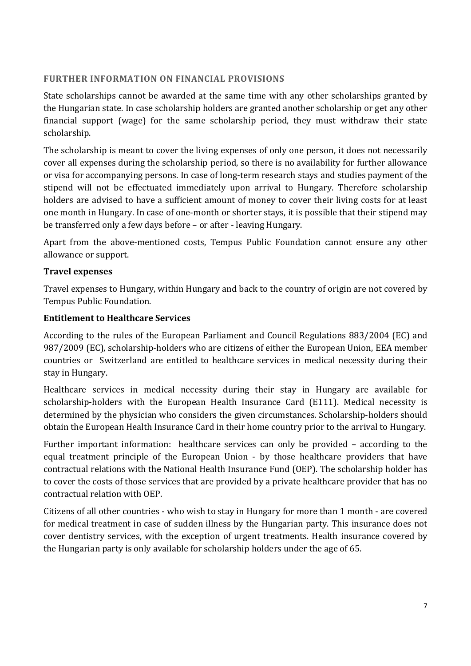## **FURTHER INFORMATION ON FINANCIAL PROVISIONS**

State scholarships cannot be awarded at the same time with any other scholarships granted by the Hungarian state. In case scholarship holders are granted another scholarship or get any other financial support (wage) for the same scholarship period, they must withdraw their state scholarship.

The scholarship is meant to cover the living expenses of only one person, it does not necessarily cover all expenses during the scholarship period, so there is no availability for further allowance or visa for accompanying persons. In case of long-term research stays and studies payment of the stipend will not be effectuated immediately upon arrival to Hungary. Therefore scholarship holders are advised to have a sufficient amount of money to cover their living costs for at least one month in Hungary. In case of one-month or shorter stays, it is possible that their stipend may be transferred only a few days before – or after - leaving Hungary.

Apart from the above-mentioned costs, Tempus Public Foundation cannot ensure any other allowance or support.

## **Travel expenses**

Travel expenses to Hungary, within Hungary and back to the country of origin are not covered by Tempus Public Foundation.

#### **Entitlement to Healthcare Services**

According to the rules of the European Parliament and Council Regulations 883/2004 (EC) and 987/2009 (EC), scholarship-holders who are citizens of either the European Union, EEA member countries or Switzerland are entitled to healthcare services in medical necessity during their stay in Hungary.

Healthcare services in medical necessity during their stay in Hungary are available for scholarship-holders with the European Health Insurance Card (E111). Medical necessity is determined by the physician who considers the given circumstances. Scholarship-holders should obtain the European Health Insurance Card in their home country prior to the arrival to Hungary.

Further important information: healthcare services can only be provided – according to the equal treatment principle of the European Union - by those healthcare providers that have contractual relations with the National Health Insurance Fund (OEP). The scholarship holder has to cover the costs of those services that are provided by a private healthcare provider that has no contractual relation with OEP.

Citizens of all other countries - who wish to stay in Hungary for more than 1 month - are covered for medical treatment in case of sudden illness by the Hungarian party. This insurance does not cover dentistry services, with the exception of urgent treatments. Health insurance covered by the Hungarian party is only available for scholarship holders under the age of 65.